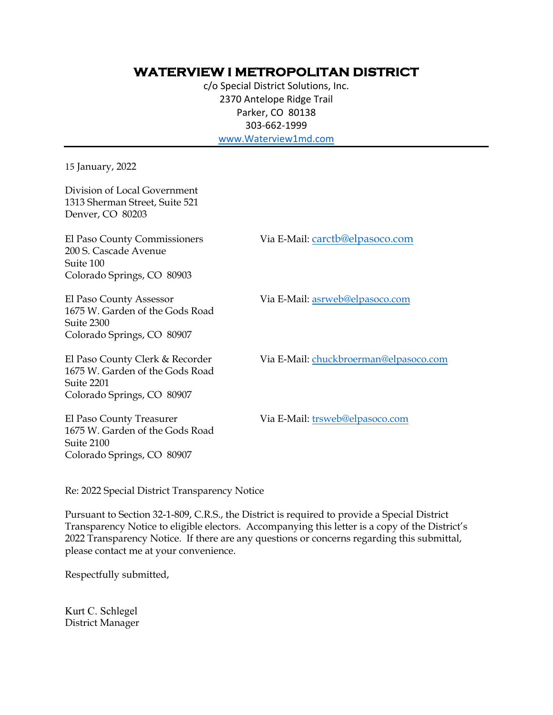## **WATERVIEW I METROPOLITAN DISTRICT**

c/o Special District Solutions, Inc. 2370 Antelope Ridge Trail Parker, CO 80138 303-662-1999 www.Waterview1md.com

15 January, 2022

Via E-Mail: carctb@elpasoco.com Via E-Mail: asrweb@elpasoco.com Division of Local Government 1313 Sherman Street, Suite 521 Denver, CO 80203 El Paso County Commissioners 200 S. Cascade Avenue Suite 100 Colorado Springs, CO 80903 El Paso County Assessor 1675 W. Garden of the Gods Road

Suite 2300 Colorado Springs, CO 80907

El Paso County Clerk & Recorder 1675 W. Garden of the Gods Road Suite 2201 Colorado Springs, CO 80907

Via E-Mail: chuckbroerman@elpasoco.com

El Paso County Treasurer 1675 W. Garden of the Gods Road Suite 2100 Colorado Springs, CO 80907

Via E-Mail: trsweb@elpasoco.com

Re: 2022 Special District Transparency Notice

Pursuant to Section 32-1-809, C.R.S., the District is required to provide a Special District Transparency Notice to eligible electors. Accompanying this letter is a copy of the District's 2022 Transparency Notice. If there are any questions or concerns regarding this submittal, please contact me at your convenience.

Respectfully submitted,

Kurt C. Schlegel District Manager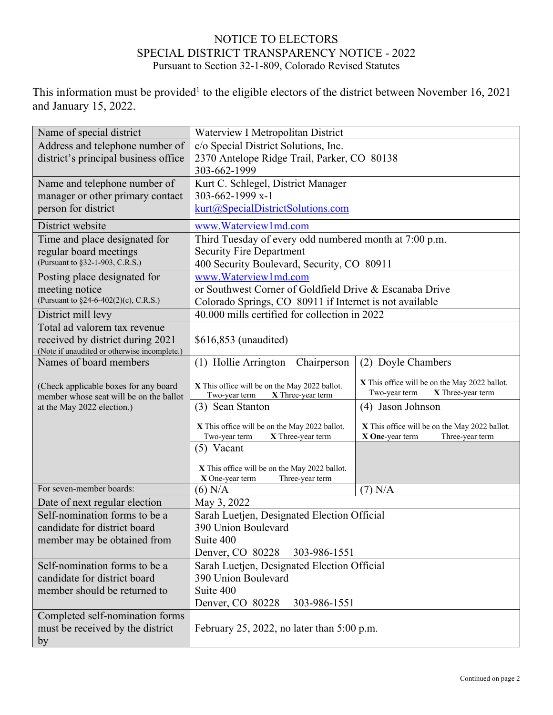## NOTICE TO ELECTORS SPECIAL DISTRICT TRANSPARENCY NOTICE - 2022 Pursuant to Section 32-1-809, Colorado Revised Statutes

This information must be provided<sup>1</sup> to the eligible electors of the district between November 16, 2021 and January 15, 2022.

| Name of special district                     | Waterview I Metropolitan District                       |                                               |  |
|----------------------------------------------|---------------------------------------------------------|-----------------------------------------------|--|
| Address and telephone number of              | c/o Special District Solutions, Inc.                    |                                               |  |
| district's principal business office         | 2370 Antelope Ridge Trail, Parker, CO 80138             |                                               |  |
|                                              | 303-662-1999                                            |                                               |  |
| Name and telephone number of                 | Kurt C. Schlegel, District Manager                      |                                               |  |
| manager or other primary contact             | 303-662-1999 x-1                                        |                                               |  |
| person for district                          | kurt@SpecialDistrictSolutions.com                       |                                               |  |
| District website                             | www.Waterview1md.com                                    |                                               |  |
| Time and place designated for                | Third Tuesday of every odd numbered month at 7:00 p.m.  |                                               |  |
| regular board meetings                       | <b>Security Fire Department</b>                         |                                               |  |
| (Pursuant to §32-1-903, C.R.S.)              | 400 Security Boulevard, Security, CO 80911              |                                               |  |
| Posting place designated for                 | www.Waterview1md.com                                    |                                               |  |
| meeting notice                               | or Southwest Corner of Goldfield Drive & Escanaba Drive |                                               |  |
| (Pursuant to §24-6-402(2)(c), C.R.S.)        | Colorado Springs, CO 80911 if Internet is not available |                                               |  |
| District mill levy                           | 40.000 mills certified for collection in 2022           |                                               |  |
| Total ad valorem tax revenue                 |                                                         |                                               |  |
| received by district during 2021             | \$616,853 (unaudited)                                   |                                               |  |
| (Note if unaudited or otherwise incomplete.) |                                                         |                                               |  |
| Names of board members                       | $(1)$ Hollie Arrington – Chairperson                    | (2) Doyle Chambers                            |  |
| (Check applicable boxes for any board        | X This office will be on the May 2022 ballot.           | X This office will be on the May 2022 ballot. |  |
| member whose seat will be on the ballot      | Two-year term<br>X Three-year term                      | X Three-year term<br>Two-year term            |  |
| at the May 2022 election.)                   | (3) Sean Stanton                                        | (4) Jason Johnson                             |  |
|                                              | X This office will be on the May 2022 ballot.           | X This office will be on the May 2022 ballot. |  |
|                                              | X Three-year term<br>Two-year term                      | X One-year term<br>Three-year term            |  |
|                                              | $(5)$ Vacant                                            |                                               |  |
|                                              | X This office will be on the May 2022 ballot.           |                                               |  |
|                                              | X One-year term<br>Three-year term                      |                                               |  |
| For seven-member boards:                     | $(6)$ N/A                                               | $(7)$ N/A                                     |  |
| Date of next regular election                | May 3, 2022                                             |                                               |  |
| Self-nomination forms to be a                | Sarah Luetjen, Designated Election Official             |                                               |  |
| candidate for district board                 | 390 Union Boulevard                                     |                                               |  |
| member may be obtained from                  | Suite 400                                               |                                               |  |
|                                              | Denver, CO 80228<br>303-986-1551                        |                                               |  |
| Self-nomination forms to be a                | Sarah Luetjen, Designated Election Official             |                                               |  |
| candidate for district board                 | 390 Union Boulevard                                     |                                               |  |
| member should be returned to                 | Suite 400                                               |                                               |  |
|                                              | Denver, CO 80228<br>303-986-1551                        |                                               |  |
| Completed self-nomination forms              |                                                         |                                               |  |
| must be received by the district             | February 25, 2022, no later than $5:00$ p.m.            |                                               |  |
| by                                           |                                                         |                                               |  |